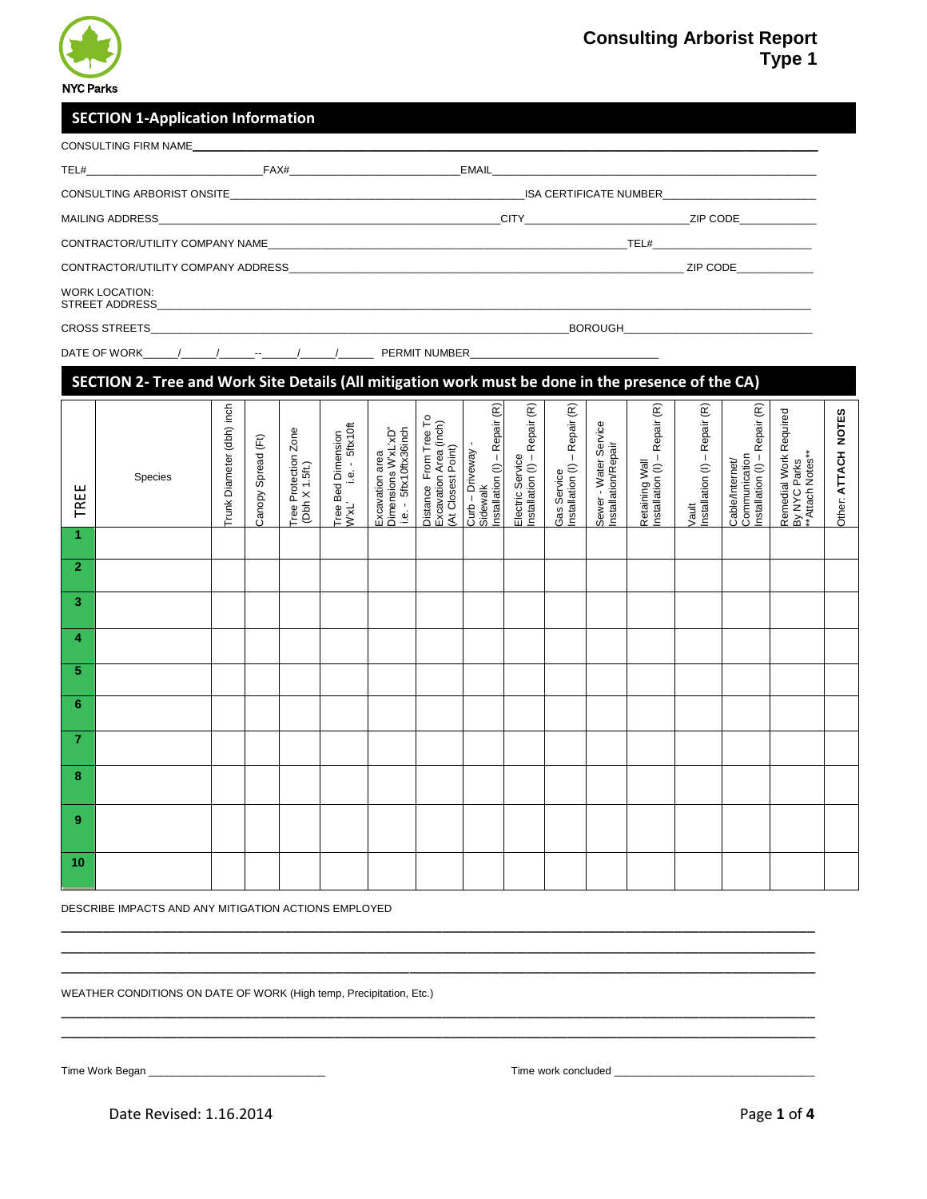

# **Consulting Arborist Report Type 1**

## **SECTION 1-Application Information**

| $TEL#$ and $FAX#$     |  |                                 |                                                                                                                                                                                                                                                   |  |  |  |
|-----------------------|--|---------------------------------|---------------------------------------------------------------------------------------------------------------------------------------------------------------------------------------------------------------------------------------------------|--|--|--|
|                       |  |                                 | ISA CERTIFICATE NUMBER                                                                                                                                                                                                                            |  |  |  |
|                       |  | <b>CITY CITY</b>                | ZIP CODE AND A STRUCK                                                                                                                                                                                                                             |  |  |  |
|                       |  | CONTRACTOR/UTILITY COMPANY NAME | $TEL#$ and $TETL$ and $TETL$ and $TETL$ and $TETL$ and $TETL$ and $TETL$ and $TETL$ and $TETL$ and $TETL$ and $TETL$ and $TETL$ and $TETL$ and $TETL$ and $TETL$ and $TETL$ and $TETL$ and $TETL$ and $TETL$ and $TETL$ and $TETL$ and $TETL$ and |  |  |  |
|                       |  |                                 | ZIP CODE AND A STRUCK                                                                                                                                                                                                                             |  |  |  |
| <b>WORK LOCATION:</b> |  |                                 |                                                                                                                                                                                                                                                   |  |  |  |
|                       |  |                                 |                                                                                                                                                                                                                                                   |  |  |  |
|                       |  |                                 |                                                                                                                                                                                                                                                   |  |  |  |

#### **SECTION 2- Tree and Work Site Details (All mitigation work must be done in the presence of the CA)**Installation  $(\mathsf{I})$  – Repair  $(\mathsf{R})$  $\widehat{\mathfrak{E}}$  $\widehat{\mathfrak{E}}$ inch Installation (I) – Repair (R) Installation (I) – Repair (R)  $\widehat{\mathfrak{E}}$ Installation (I) – Repair (R)  $\widehat{\mathfrak{E}}$ Installation (I) – Repair (R)  $\widehat{\mathfrak{E}}$ Installation (I) – Repair (R) <sup>ork Required</sup><br>.s.\*\*<br>.s.\*\* Trunk Diameter (dbh) inch Remedial Work Required m Tree To<br>rea (inch) ce<br>- Repair - Repair ( r Service<br><sub>i</sub>pair Repair Repair ension<br>5ftx10ft - Repair i (dbh) in Zone ea<br>v"xL'xD"<br>x36inch  $id(Ft)$  $\widehat{\mathsf{F}}$  $\geq$  5  $\blacksquare$

| TREE           | Species | Trunk Diameter (dbh) inc | Canopy Spread (Ft) | Tree Protection Zone<br>(Dbh X 1.5ft.) | i.e. - 5ftx10ft<br>Tree Bed Dimension<br>W'xL' i.e. - 5ftx10 | Excavation area<br>Dimensions W'xL'xD"<br>i.e. - 5ftx10ftx36inch | Distance From Tree To<br>Excavation Area (inch)<br>(At Closest Point) | Installation (I) - Repair (F<br>Curb - Driveway<br>Sidewalk | Electric Service<br>Installation (I) – Repair (F | Gas Service<br>Installation (I) – Repair (F | Sewer - Water Service<br>Installation/Repair | Retaining Wall<br>Installation (I) – Repair (F | Vault<br>Installation (I) – Repair (F | Installation (I) - Repair (F<br>Communication<br>Cable/Internet/ | Remedial Work Required<br>By NYC Parks<br>**Attach Notes** | Other: ATTACH NOTES |
|----------------|---------|--------------------------|--------------------|----------------------------------------|--------------------------------------------------------------|------------------------------------------------------------------|-----------------------------------------------------------------------|-------------------------------------------------------------|--------------------------------------------------|---------------------------------------------|----------------------------------------------|------------------------------------------------|---------------------------------------|------------------------------------------------------------------|------------------------------------------------------------|---------------------|
| 1.             |         |                          |                    |                                        |                                                              |                                                                  |                                                                       |                                                             |                                                  |                                             |                                              |                                                |                                       |                                                                  |                                                            |                     |
| $\overline{2}$ |         |                          |                    |                                        |                                                              |                                                                  |                                                                       |                                                             |                                                  |                                             |                                              |                                                |                                       |                                                                  |                                                            |                     |
| 3              |         |                          |                    |                                        |                                                              |                                                                  |                                                                       |                                                             |                                                  |                                             |                                              |                                                |                                       |                                                                  |                                                            |                     |
| 4              |         |                          |                    |                                        |                                                              |                                                                  |                                                                       |                                                             |                                                  |                                             |                                              |                                                |                                       |                                                                  |                                                            |                     |
| 5              |         |                          |                    |                                        |                                                              |                                                                  |                                                                       |                                                             |                                                  |                                             |                                              |                                                |                                       |                                                                  |                                                            |                     |
| 6              |         |                          |                    |                                        |                                                              |                                                                  |                                                                       |                                                             |                                                  |                                             |                                              |                                                |                                       |                                                                  |                                                            |                     |
| 7              |         |                          |                    |                                        |                                                              |                                                                  |                                                                       |                                                             |                                                  |                                             |                                              |                                                |                                       |                                                                  |                                                            |                     |
| 8              |         |                          |                    |                                        |                                                              |                                                                  |                                                                       |                                                             |                                                  |                                             |                                              |                                                |                                       |                                                                  |                                                            |                     |
| 9              |         |                          |                    |                                        |                                                              |                                                                  |                                                                       |                                                             |                                                  |                                             |                                              |                                                |                                       |                                                                  |                                                            |                     |
| 10             |         |                          |                    |                                        |                                                              |                                                                  |                                                                       |                                                             |                                                  |                                             |                                              |                                                |                                       |                                                                  |                                                            |                     |

\_\_\_\_\_\_\_\_\_\_\_\_\_\_\_\_\_\_\_\_\_\_\_\_\_\_\_\_\_\_\_\_\_\_\_\_\_\_\_\_\_\_\_\_\_\_\_\_\_\_\_\_\_\_\_\_\_\_\_\_\_\_\_\_\_\_\_\_\_\_\_\_\_\_\_\_\_\_\_\_\_\_\_\_\_\_\_\_\_\_\_ \_\_\_\_\_\_\_\_\_\_\_\_\_\_\_\_\_\_\_\_\_\_\_\_\_\_\_\_\_\_\_\_\_\_\_\_\_\_\_\_\_\_\_\_\_\_\_\_\_\_\_\_\_\_\_\_\_\_\_\_\_\_\_\_\_\_\_\_\_\_\_\_\_\_\_\_\_\_\_\_\_\_\_\_\_\_\_\_\_\_\_ \_\_\_\_\_\_\_\_\_\_\_\_\_\_\_\_\_\_\_\_\_\_\_\_\_\_\_\_\_\_\_\_\_\_\_\_\_\_\_\_\_\_\_\_\_\_\_\_\_\_\_\_\_\_\_\_\_\_\_\_\_\_\_\_\_\_\_\_\_\_\_\_\_\_\_\_\_\_\_\_\_\_\_\_\_\_\_\_\_\_\_

\_\_\_\_\_\_\_\_\_\_\_\_\_\_\_\_\_\_\_\_\_\_\_\_\_\_\_\_\_\_\_\_\_\_\_\_\_\_\_\_\_\_\_\_\_\_\_\_\_\_\_\_\_\_\_\_\_\_\_\_\_\_\_\_\_\_\_\_\_\_\_\_\_\_\_\_\_\_\_\_\_\_\_\_\_\_\_\_\_\_\_ \_\_\_\_\_\_\_\_\_\_\_\_\_\_\_\_\_\_\_\_\_\_\_\_\_\_\_\_\_\_\_\_\_\_\_\_\_\_\_\_\_\_\_\_\_\_\_\_\_\_\_\_\_\_\_\_\_\_\_\_\_\_\_\_\_\_\_\_\_\_\_\_\_\_\_\_\_\_\_\_\_\_\_\_\_\_\_\_\_\_\_

DESCRIBE IMPACTS AND ANY MITIGATION ACTIONS EMPLOYED

WEATHER CONDITIONS ON DATE OF WORK (High temp, Precipitation, Etc.)

Time Work Began \_\_\_\_\_\_\_\_\_\_\_\_\_\_\_\_\_\_\_\_\_\_\_\_\_\_\_\_\_\_ Time work concluded \_\_\_\_\_\_\_\_\_\_\_\_\_\_\_\_\_\_\_\_\_\_\_\_\_\_\_\_\_\_\_\_\_\_

Date Revised: 1.16.2014 Page **1** of **4**

**NOTES**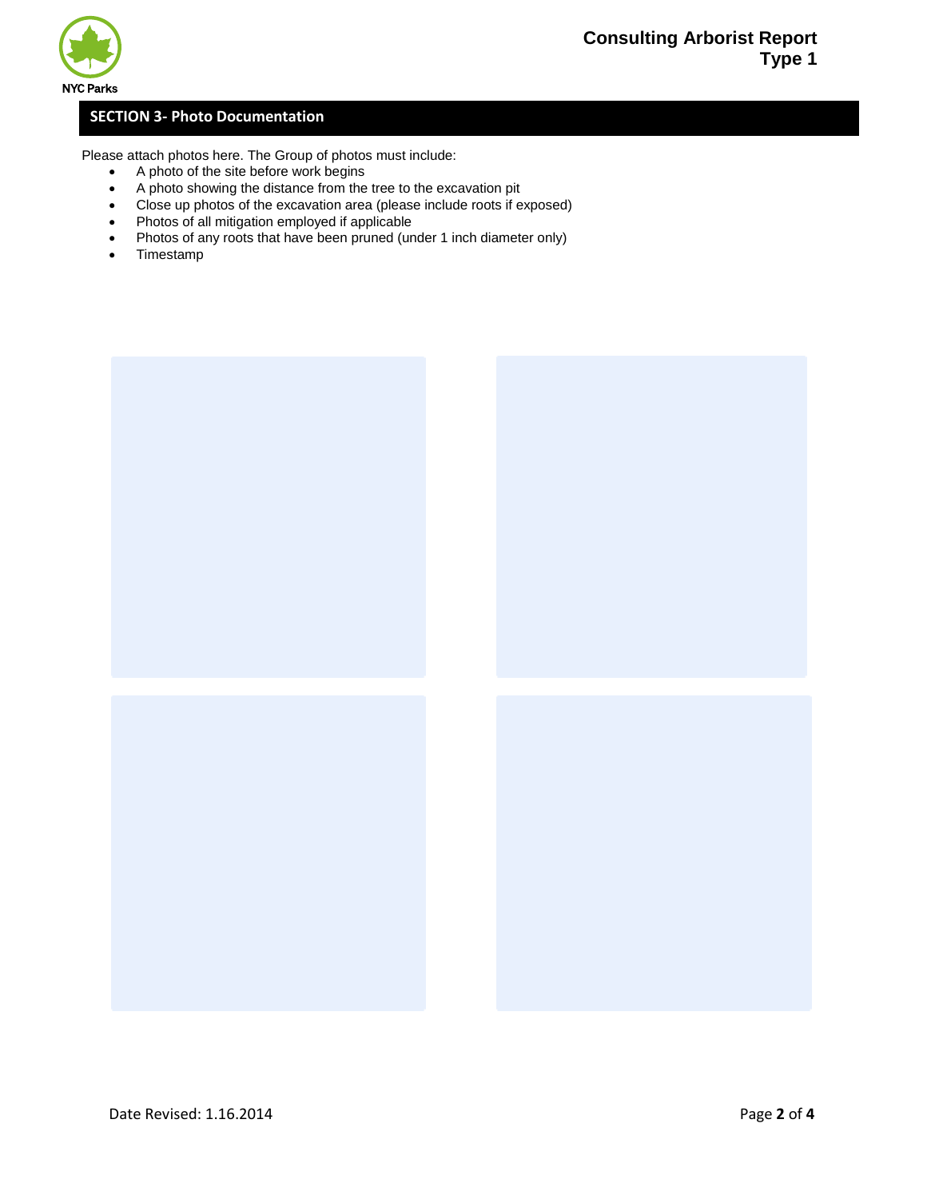



## **SECTION 3- Photo Documentation**

Please attach photos here. The Group of photos must include:

- A photo of the site before work begins
- A photo showing the distance from the tree to the excavation pit
- Close up photos of the excavation area (please include roots if exposed)
- Photos of all mitigation employed if applicable
- Photos of any roots that have been pruned (under 1 inch diameter only)
- Timestamp



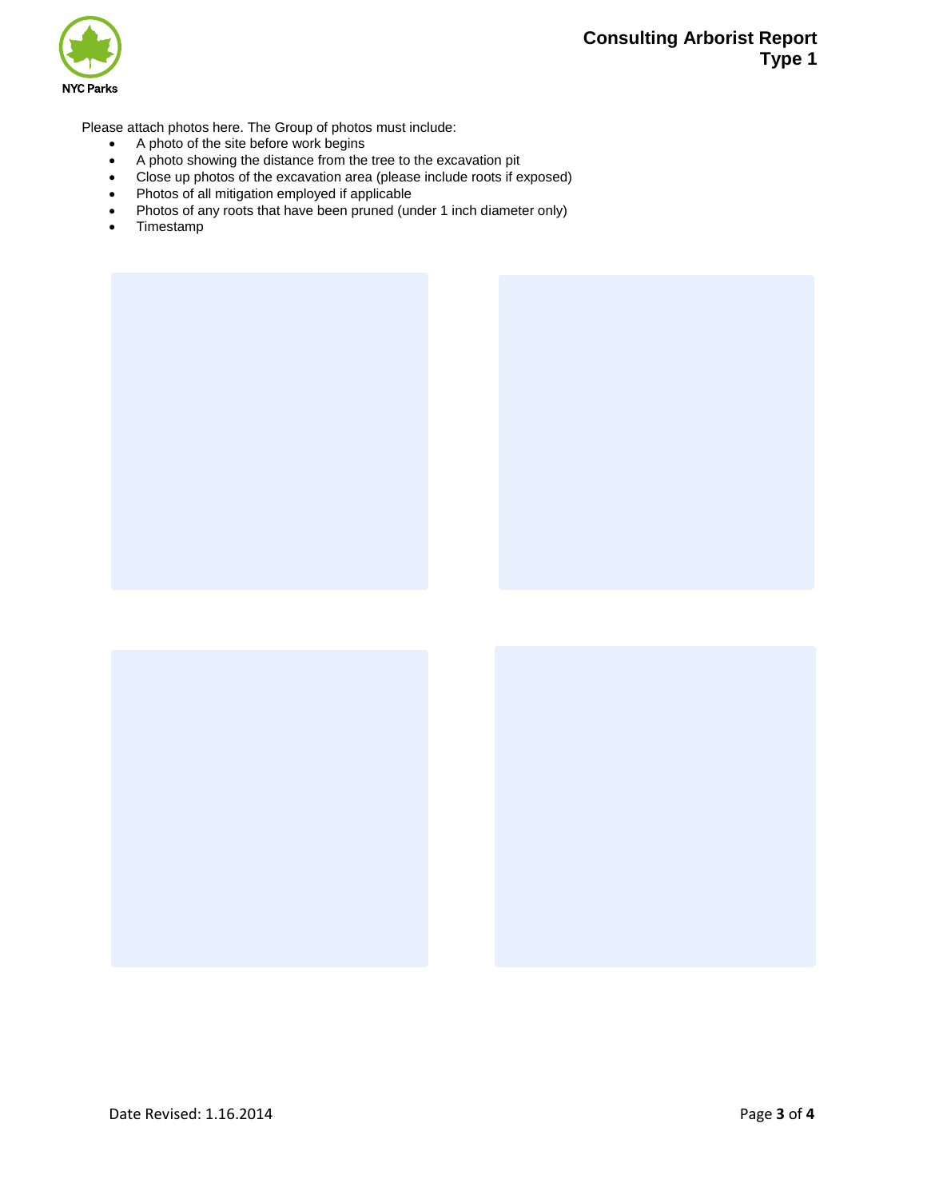



Please attach photos here. The Group of photos must include:

- A photo of the site before work begins
- A photo showing the distance from the tree to the excavation pit
- Close up photos of the excavation area (please include roots if exposed)
- Photos of all mitigation employed if applicable
- Photos of any roots that have been pruned (under 1 inch diameter only)
- Timestamp